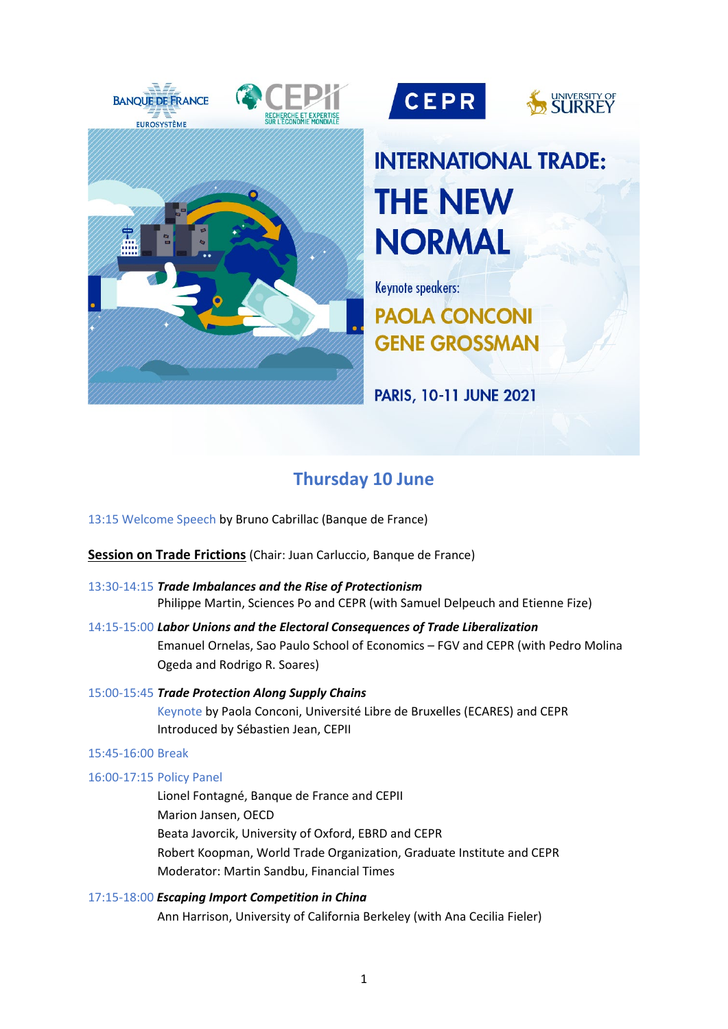





# **INTERNATIONAL TRADE: THE NEW NORMAL**

**Keynote speakers: PAOLA CONCONI GENE GROSSMAN** 

PARIS, 10-11 JUNE 2021

# **Thursday 10 June**

13:15 Welcome Speech by Bruno Cabrillac (Banque de France)

**Session on Trade Frictions** (Chair: Juan Carluccio, Banque de France)

- 13:30-14:15 *Trade Imbalances and the Rise of Protectionism* Philippe Martin, Sciences Po and CEPR (with Samuel Delpeuch and Etienne Fize)
- 14:15-15:00 *Labor Unions and the Electoral Consequences of Trade Liberalization* Emanuel Ornelas, Sao Paulo School of Economics – FGV and CEPR (with Pedro Molina Ogeda and Rodrigo R. Soares)
- 15:00-15:45 *Trade Protection Along Supply Chains* Keynote by Paola Conconi, Université Libre de Bruxelles (ECARES) and CEPR Introduced by Sébastien Jean, CEPII

### 15:45-16:00 Break

## 16:00-17:15 Policy Panel

Lionel Fontagné, Banque de France and CEPII Marion Jansen, OECD Beata Javorcik, University of Oxford, EBRD and CEPR Robert Koopman, World Trade Organization, Graduate Institute and CEPR Moderator: Martin Sandbu, Financial Times

17:15-18:00 *Escaping Import Competition in China*  Ann Harrison, University of California Berkeley (with Ana Cecilia Fieler)